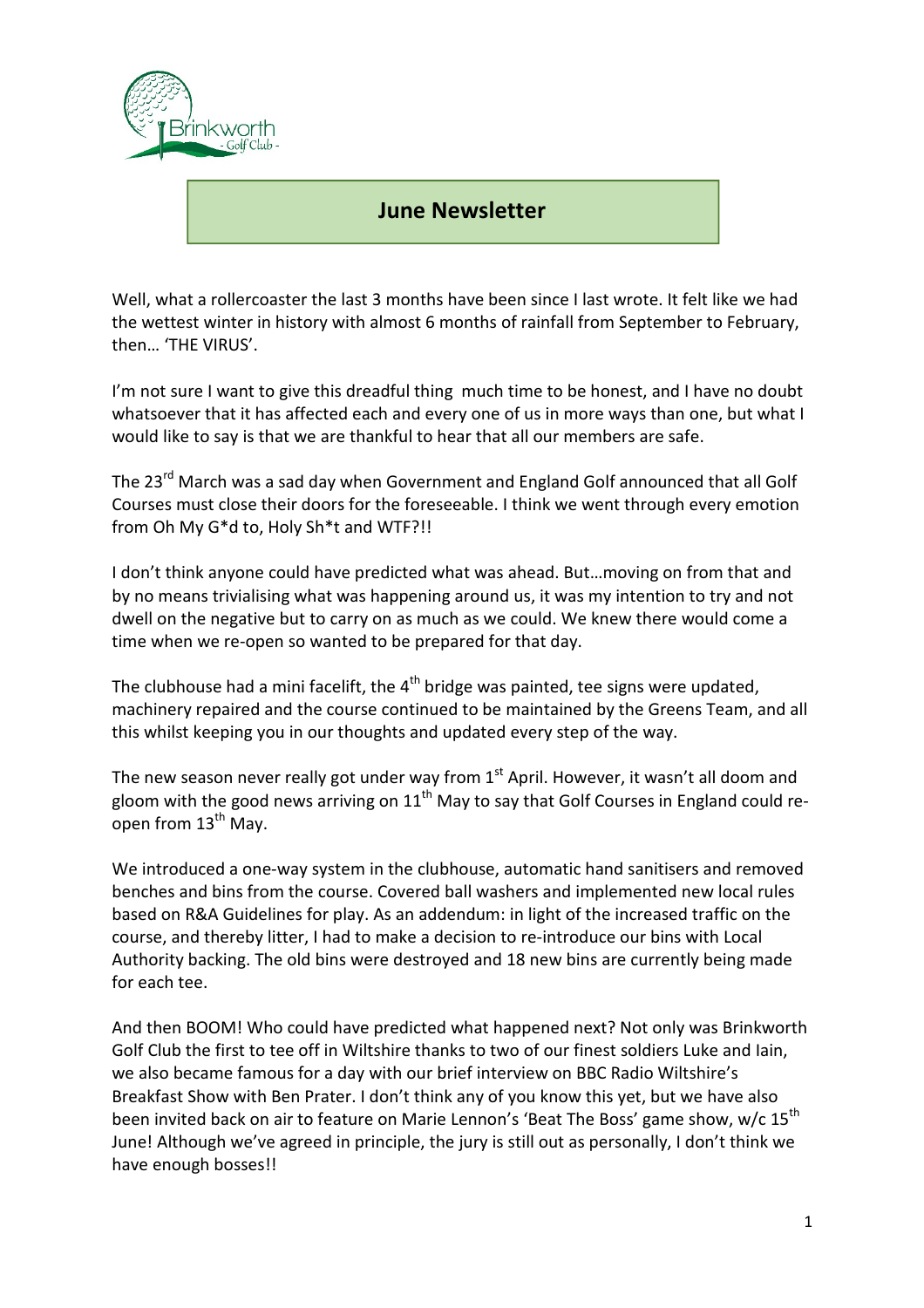

## i **June Newsletter**

Well, what a rollercoaster the last 3 months have been since I last wrote. It felt like we had the wettest winter in history with almost 6 months of rainfall from September to February, then… 'THE VIRUS'.

I'm not sure I want to give this dreadful thing much time to be honest, and I have no doubt whatsoever that it has affected each and every one of us in more ways than one, but what I would like to say is that we are thankful to hear that all our members are safe.

The 23<sup>rd</sup> March was a sad day when Government and England Golf announced that all Golf Courses must close their doors for the foreseeable. I think we went through every emotion from Oh My G\*d to, Holy Sh\*t and WTF?!!

I don't think anyone could have predicted what was ahead. But…moving on from that and by no means trivialising what was happening around us, it was my intention to try and not dwell on the negative but to carry on as much as we could. We knew there would come a time when we re-open so wanted to be prepared for that day.

The clubhouse had a mini facelift, the  $4<sup>th</sup>$  bridge was painted, tee signs were updated, machinery repaired and the course continued to be maintained by the Greens Team, and all this whilst keeping you in our thoughts and updated every step of the way.

The new season never really got under way from  $1<sup>st</sup>$  April. However, it wasn't all doom and gloom with the good news arriving on  $11<sup>th</sup>$  May to say that Golf Courses in England could reopen from  $13<sup>th</sup>$  May.

We introduced a one-way system in the clubhouse, automatic hand sanitisers and removed benches and bins from the course. Covered ball washers and implemented new local rules based on R&A Guidelines for play. As an addendum: in light of the increased traffic on the course, and thereby litter, I had to make a decision to re-introduce our bins with Local Authority backing. The old bins were destroyed and 18 new bins are currently being made for each tee.

And then BOOM! Who could have predicted what happened next? Not only was Brinkworth Golf Club the first to tee off in Wiltshire thanks to two of our finest soldiers Luke and Iain, we also became famous for a day with our brief interview on BBC Radio Wiltshire's Breakfast Show with Ben Prater. I don't think any of you know this yet, but we have also been invited back on air to feature on Marie Lennon's 'Beat The Boss' game show, w/c 15<sup>th</sup> June! Although we've agreed in principle, the jury is still out as personally, I don't think we have enough bosses!!